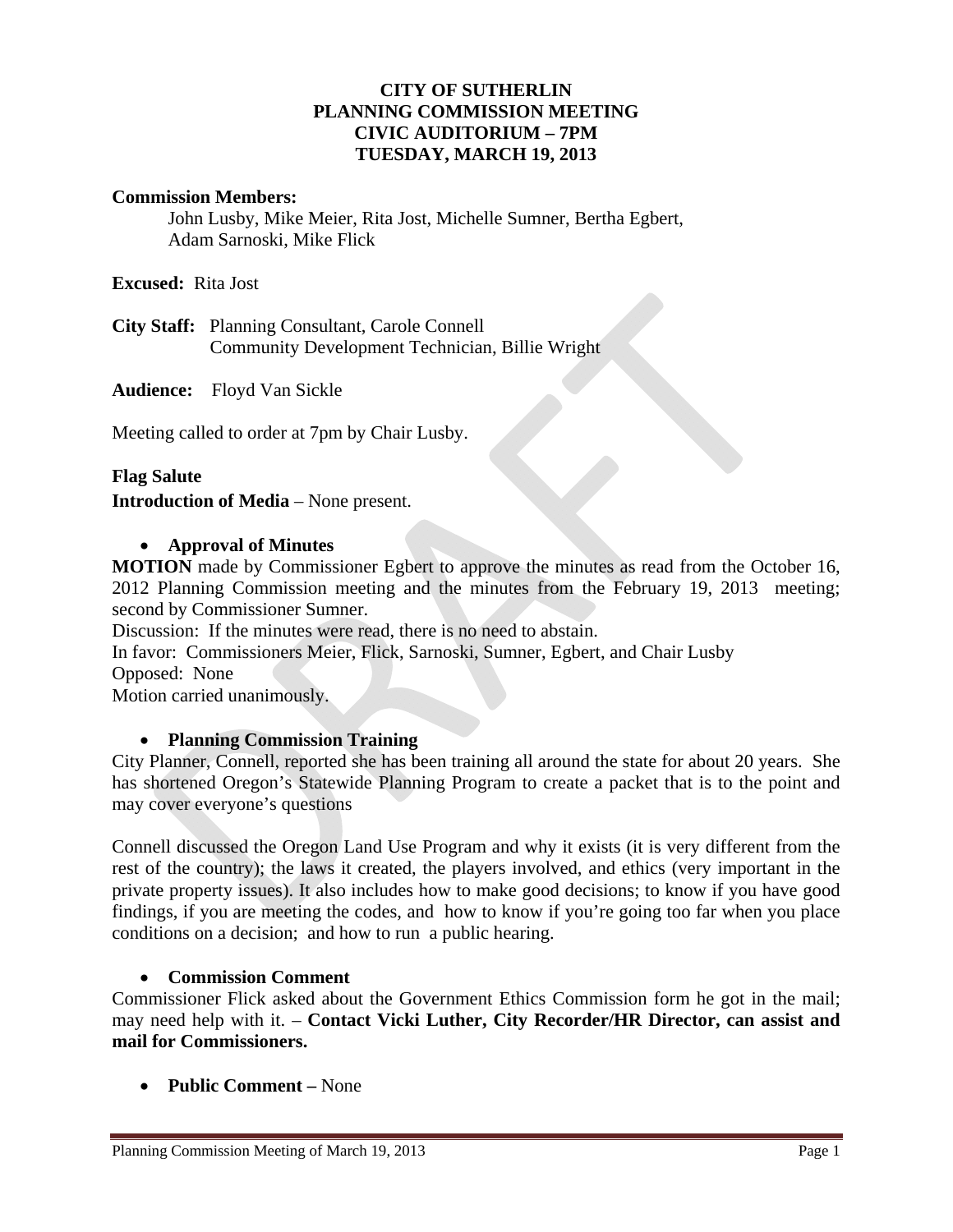## **CITY OF SUTHERLIN PLANNING COMMISSION MEETING CIVIC AUDITORIUM – 7PM TUESDAY, MARCH 19, 2013**

## **Commission Members:**

John Lusby, Mike Meier, Rita Jost, Michelle Sumner, Bertha Egbert, Adam Sarnoski, Mike Flick

**Excused:** Rita Jost

**City Staff:** Planning Consultant, Carole Connell Community Development Technician, Billie Wright

**Audience:** Floyd Van Sickle

Meeting called to order at 7pm by Chair Lusby.

#### **Flag Salute**

**Introduction of Media** – None present.

#### **Approval of Minutes**

**MOTION** made by Commissioner Egbert to approve the minutes as read from the October 16, 2012 Planning Commission meeting and the minutes from the February 19, 2013 meeting; second by Commissioner Sumner.

Discussion: If the minutes were read, there is no need to abstain.

In favor: Commissioners Meier, Flick, Sarnoski, Sumner, Egbert, and Chair Lusby

Opposed:None

Motion carried unanimously.

## **Planning Commission Training**

City Planner, Connell, reported she has been training all around the state for about 20 years. She has shortened Oregon's Statewide Planning Program to create a packet that is to the point and may cover everyone's questions

Connell discussed the Oregon Land Use Program and why it exists (it is very different from the rest of the country); the laws it created, the players involved, and ethics (very important in the private property issues). It also includes how to make good decisions; to know if you have good findings, if you are meeting the codes, and how to know if you're going too far when you place conditions on a decision; and how to run a public hearing.

## **Commission Comment**

Commissioner Flick asked about the Government Ethics Commission form he got in the mail; may need help with it. – **Contact Vicki Luther, City Recorder/HR Director, can assist and mail for Commissioners.** 

**Public Comment –** None